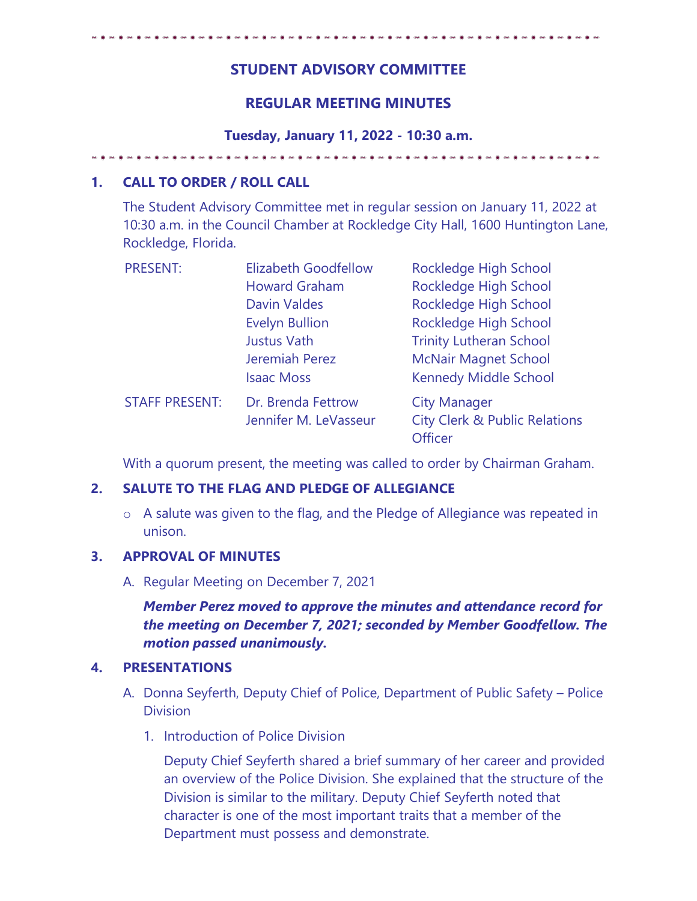# **STUDENT ADVISORY COMMITTEE**

## **REGULAR MEETING MINUTES**

**Tuesday, January 11, 2022 - 10:30 a.m.** 

## **1. CALL TO ORDER / ROLL CALL**

The Student Advisory Committee met in regular session on January 11, 2022 at 10:30 a.m. in the Council Chamber at Rockledge City Hall, 1600 Huntington Lane, Rockledge, Florida.

| <b>PRESENT:</b>       | <b>Elizabeth Goodfellow</b> | Rockledge High School                               |
|-----------------------|-----------------------------|-----------------------------------------------------|
|                       | <b>Howard Graham</b>        | Rockledge High School                               |
|                       | <b>Davin Valdes</b>         | Rockledge High School                               |
|                       | <b>Evelyn Bullion</b>       | Rockledge High School                               |
|                       | <b>Justus Vath</b>          | <b>Trinity Lutheran School</b>                      |
|                       | Jeremiah Perez              | <b>McNair Magnet School</b>                         |
|                       | <b>Isaac Moss</b>           | <b>Kennedy Middle School</b>                        |
| <b>STAFF PRESENT:</b> | Dr. Brenda Fettrow          | <b>City Manager</b>                                 |
|                       | Jennifer M. LeVasseur       | <b>City Clerk &amp; Public Relations</b><br>Officer |

With a quorum present, the meeting was called to order by Chairman Graham.

## **2. SALUTE TO THE FLAG AND PLEDGE OF ALLEGIANCE**

o A salute was given to the flag, and the Pledge of Allegiance was repeated in unison.

## **3. APPROVAL OF MINUTES**

A. Regular Meeting on December 7, 2021

*Member Perez moved to approve the minutes and attendance record for the meeting on December 7, 2021; seconded by Member Goodfellow. The motion passed unanimously.* 

## **4. PRESENTATIONS**

- A. Donna Seyferth, Deputy Chief of Police, Department of Public Safety Police **Division** 
	- 1. Introduction of Police Division

Deputy Chief Seyferth shared a brief summary of her career and provided an overview of the Police Division. She explained that the structure of the Division is similar to the military. Deputy Chief Seyferth noted that character is one of the most important traits that a member of the Department must possess and demonstrate.